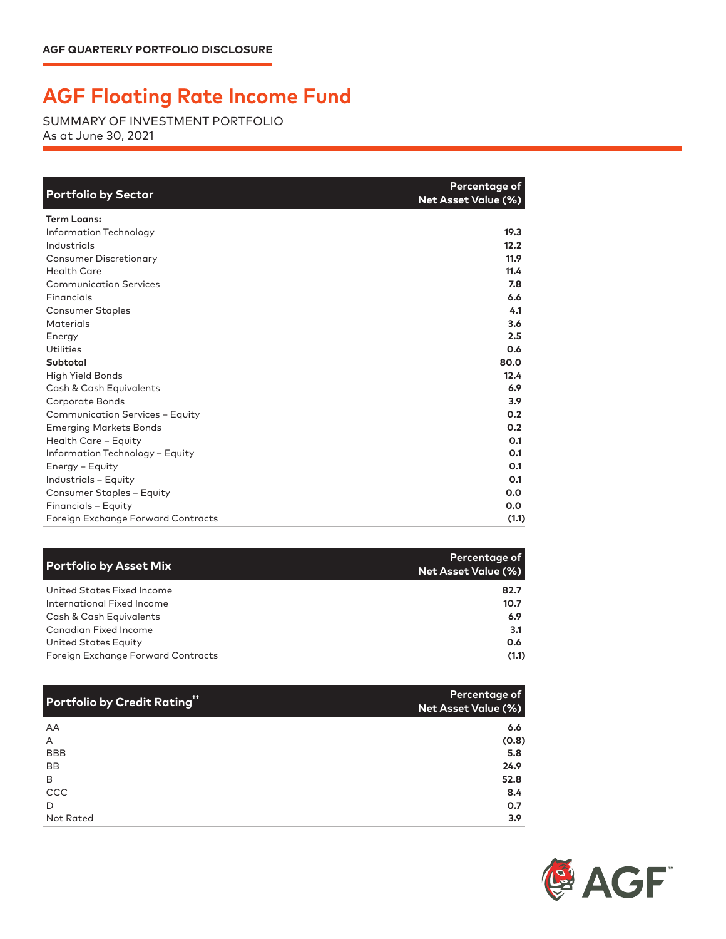## **AGF Floating Rate Income Fund**

SUMMARY OF INVESTMENT PORTFOLIO As at June 30, 2021

| <b>Portfolio by Sector</b>         | Percentage of<br><b>Net Asset Value (%)</b> |
|------------------------------------|---------------------------------------------|
| <b>Term Loans:</b>                 |                                             |
| Information Technology             | 19.3                                        |
| Industrials                        | 12.2                                        |
| <b>Consumer Discretionary</b>      | 11.9                                        |
| <b>Health Care</b>                 | 11.4                                        |
| <b>Communication Services</b>      | 7.8                                         |
| Financials                         | 6.6                                         |
| <b>Consumer Staples</b>            | 4.1                                         |
| <b>Materials</b>                   | 3.6                                         |
| Energy                             | 2.5                                         |
| Utilities                          | 0.6                                         |
| Subtotal                           | 80.0                                        |
| High Yield Bonds                   | 12.4                                        |
| Cash & Cash Equivalents            | 6.9                                         |
| Corporate Bonds                    | 3.9                                         |
| Communication Services - Equity    | 0.2                                         |
| <b>Emerging Markets Bonds</b>      | 0.2                                         |
| Health Care - Equity               | 0.1                                         |
| Information Technology - Equity    | 0.1                                         |
| Energy - Equity                    | 0.1                                         |
| Industrials - Equity               | 0.1                                         |
| <b>Consumer Staples - Equity</b>   | 0.0                                         |
| Financials - Equity                | 0.0                                         |
| Foreign Exchange Forward Contracts | (1.1)                                       |

| <b>Portfolio by Asset Mix</b>      | Percentage of<br><b>Net Asset Value (%)</b> |
|------------------------------------|---------------------------------------------|
| United States Fixed Income         | 82.7                                        |
| International Fixed Income         | 10.7                                        |
| Cash & Cash Equivalents            | 6.9                                         |
| Canadian Fixed Income              | 3.1                                         |
| <b>United States Equity</b>        | 0.6                                         |
| Foreign Exchange Forward Contracts | (1.1)                                       |

| Portfolio by Credit Rating" | Percentage of<br><b>Net Asset Value (%)</b> |
|-----------------------------|---------------------------------------------|
| AA                          | 6.6                                         |
| A                           | (0.8)                                       |
| <b>BBB</b>                  | 5.8                                         |
| <b>BB</b>                   | 24.9                                        |
| B                           | 52.8                                        |
| CCC                         | 8.4                                         |
| D                           | 0.7                                         |
| Not Rated                   | 3.9                                         |